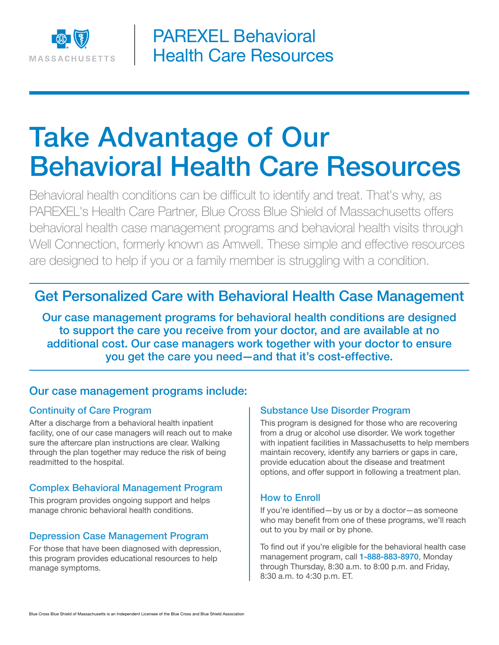

# Take Advantage of Our Behavioral Health Care Resources

Behavioral health conditions can be difficult to identify and treat. That's why, as PAREXEL's Health Care Partner, Blue Cross Blue Shield of Massachusetts offers behavioral health case management programs and behavioral health visits through Well Connection, formerly known as Amwell. These simple and effective resources are designed to help if you or a family member is struggling with a condition.

# Get Personalized Care with Behavioral Health Case Management

Our case management programs for behavioral health conditions are designed to support the care you receive from your doctor, and are available at no additional cost. Our case managers work together with your doctor to ensure you get the care you need—and that it's cost-effective.

# Our case management programs include:

## Continuity of Care Program

After a discharge from a behavioral health inpatient facility, one of our case managers will reach out to make sure the aftercare plan instructions are clear. Walking through the plan together may reduce the risk of being readmitted to the hospital.

# Complex Behavioral Management Program

This program provides ongoing support and helps manage chronic behavioral health conditions.

## Depression Case Management Program

For those that have been diagnosed with depression, this program provides educational resources to help manage symptoms.

#### Substance Use Disorder Program

This program is designed for those who are recovering from a drug or alcohol use disorder. We work together with inpatient facilities in Massachusetts to help members maintain recovery, identify any barriers or gaps in care, provide education about the disease and treatment options, and offer support in following a treatment plan.

#### How to Enroll

If you're identified—by us or by a doctor—as someone who may benefit from one of these programs, we'll reach out to you by mail or by phone.

To find out if you're eligible for the behavioral health case management program, call 1-888-883-8970, Monday through Thursday, 8:30 a.m. to 8:00 p.m. and Friday, 8:30 a.m. to 4:30 p.m. ET.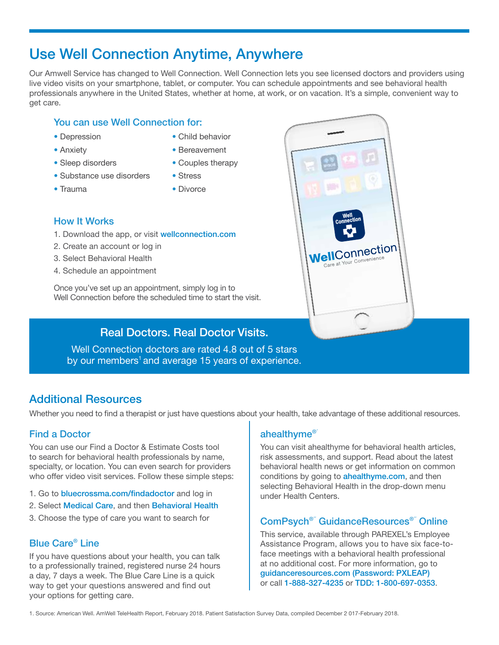#### 1. Source: American Well. AmWell TeleHealth Report, February 2018. Patient Satisfaction Survey Data, compiled December 2 017-February 2018.

# Use Well Connection Anytime, Anywhere

Our Amwell Service has changed to Well Connection. Well Connection lets you see licensed doctors and providers using live video visits on your smartphone, tablet, or computer. You can schedule appointments and see behavioral health professionals anywhere in the United States, whether at home, at work, or on vacation. It's a simple, convenient way to get care.

#### You can use Well Connection for:

- Depression
- Anxiety
- Sleep disorders
- Substance use disorders
- Trauma
- Child behavior
- Bereavement
- Couples therapy
- Stress
- Divorce

#### How It Works

- 1. Download the app, or visit wellconnection.com
- 2. Create an account or log in
- 3. Select Behavioral Health
- 4. Schedule an appointment

Once you've set up an appointment, simply log in to Well Connection before the scheduled time to start the visit.

## Real Doctors. Real Doctor Visits.

Well Connection doctors are rated 4.8 out of 5 stars by our members<sup>1</sup> and average 15 years of experience.



## Additional Resources

Whether you need to find a therapist or just have questions about your health, take advantage of these additional resources.

#### Find a Doctor

You can use our Find a Doctor & Estimate Costs tool to search for behavioral health professionals by name, specialty, or location. You can even search for providers who offer video visit services. Follow these simple steps:

- 1. Go to bluecrossma.com/findadoctor and log in
- 2. Select Medical Care, and then Behavioral Health
- 3. Choose the type of care you want to search for

#### Blue Care® Line

If you have questions about your health, you can talk to a professionally trained, registered nurse 24 hours a day, 7 days a week. The Blue Care Line is a quick way to get your questions answered and find out your options for getting care.

#### ahealthyme®´

You can visit ahealthyme for behavioral health articles, risk assessments, and support. Read about the latest behavioral health news or get information on common conditions by going to ahealthyme.com, and then selecting Behavioral Health in the drop-down menu under Health Centers.

#### ComPsych®´´ GuidanceResources®´´ Online

This service, available through PAREXEL's Employee Assistance Program, allows you to have six face-toface meetings with a behavioral health professional at no additional cost. For more information, go to guidanceresources.com (Password: PXLEAP) or call 1-888-327-4235 or TDD: 1-800-697-0353.